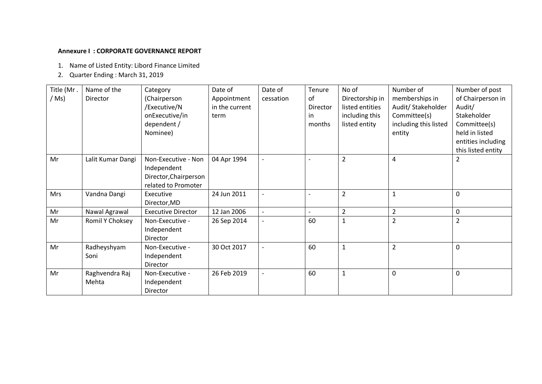### **Annexure I : CORPORATE GOVERNANCE REPORT**

- 1. Name of Listed Entity: Libord Finance Limited
- 2. Quarter Ending : March 31, 2019

| Title (Mr. | Name of the       | Category                  | Date of        | Date of                  | Tenure         | No of           | Number of               | Number of post     |
|------------|-------------------|---------------------------|----------------|--------------------------|----------------|-----------------|-------------------------|--------------------|
| / Ms)      | Director          | (Chairperson              | Appointment    | cessation                | of             | Directorship in | memberships in          | of Chairperson in  |
|            |                   | /Executive/N              | in the current |                          | Director       | listed entities | Audit/ Stakeholder      | Audit/             |
|            |                   | onExecutive/in            | term           |                          | in             | including this  | Committee(s)            | Stakeholder        |
|            |                   | dependent /               |                |                          | months         | listed entity   | including this listed   | Committee(s)       |
|            |                   | Nominee)                  |                |                          |                |                 | entity                  | held in listed     |
|            |                   |                           |                |                          |                |                 |                         | entities including |
|            |                   |                           |                |                          |                |                 |                         | this listed entity |
| Mr         | Lalit Kumar Dangi | Non-Executive - Non       | 04 Apr 1994    |                          |                | $\overline{2}$  | $\overline{\mathbf{4}}$ | $\overline{2}$     |
|            |                   | Independent               |                |                          |                |                 |                         |                    |
|            |                   | Director, Chairperson     |                |                          |                |                 |                         |                    |
|            |                   | related to Promoter       |                |                          |                |                 |                         |                    |
| <b>Mrs</b> | Vandna Dangi      | Executive                 | 24 Jun 2011    |                          |                | $\overline{2}$  | $\mathbf 1$             | $\mathbf 0$        |
|            |                   | Director, MD              |                |                          |                |                 |                         |                    |
| Mr         | Nawal Agrawal     | <b>Executive Director</b> | 12 Jan 2006    |                          | $\overline{a}$ | $\overline{2}$  | $\overline{2}$          | $\pmb{0}$          |
| Mr         | Romil Y Choksey   | Non-Executive -           | 26 Sep 2014    |                          | 60             | $\mathbf{1}$    | $\overline{2}$          | $\overline{2}$     |
|            |                   | Independent               |                |                          |                |                 |                         |                    |
|            |                   | Director                  |                |                          |                |                 |                         |                    |
| Mr         | Radheyshyam       | Non-Executive -           | 30 Oct 2017    |                          | 60             | $\mathbf{1}$    | $\overline{2}$          | $\mathbf 0$        |
|            | Soni              | Independent               |                |                          |                |                 |                         |                    |
|            |                   | Director                  |                |                          |                |                 |                         |                    |
| Mr         | Raghvendra Raj    | Non-Executive -           | 26 Feb 2019    | $\overline{\phantom{a}}$ | 60             | $\mathbf{1}$    | $\mathbf 0$             | $\mathbf 0$        |
|            | Mehta             | Independent               |                |                          |                |                 |                         |                    |
|            |                   | Director                  |                |                          |                |                 |                         |                    |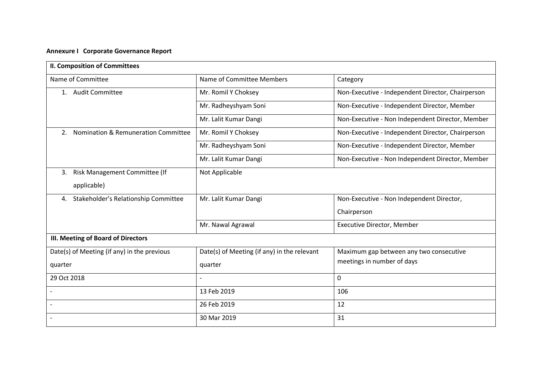| <b>II. Composition of Committees</b>        |                                             |                                                   |  |  |  |
|---------------------------------------------|---------------------------------------------|---------------------------------------------------|--|--|--|
| Name of Committee                           | Name of Committee Members                   | Category                                          |  |  |  |
| 1. Audit Committee                          | Mr. Romil Y Choksey                         | Non-Executive - Independent Director, Chairperson |  |  |  |
|                                             | Mr. Radheyshyam Soni                        | Non-Executive - Independent Director, Member      |  |  |  |
|                                             | Mr. Lalit Kumar Dangi                       | Non-Executive - Non Independent Director, Member  |  |  |  |
| Nomination & Remuneration Committee<br>2.   | Mr. Romil Y Choksey                         | Non-Executive - Independent Director, Chairperson |  |  |  |
|                                             | Mr. Radheyshyam Soni                        | Non-Executive - Independent Director, Member      |  |  |  |
|                                             | Mr. Lalit Kumar Dangi                       | Non-Executive - Non Independent Director, Member  |  |  |  |
| Risk Management Committee (If<br>3.         | Not Applicable                              |                                                   |  |  |  |
| applicable)                                 |                                             |                                                   |  |  |  |
| Stakeholder's Relationship Committee<br>4.  | Mr. Lalit Kumar Dangi                       | Non-Executive - Non Independent Director,         |  |  |  |
|                                             |                                             | Chairperson                                       |  |  |  |
|                                             | Mr. Nawal Agrawal                           | Executive Director, Member                        |  |  |  |
| III. Meeting of Board of Directors          |                                             |                                                   |  |  |  |
| Date(s) of Meeting (if any) in the previous | Date(s) of Meeting (if any) in the relevant | Maximum gap between any two consecutive           |  |  |  |
| quarter                                     | quarter                                     | meetings in number of days                        |  |  |  |
| 29 Oct 2018                                 |                                             | 0                                                 |  |  |  |
|                                             | 13 Feb 2019                                 | 106                                               |  |  |  |
|                                             | 26 Feb 2019                                 | 12                                                |  |  |  |
|                                             | 30 Mar 2019                                 | 31                                                |  |  |  |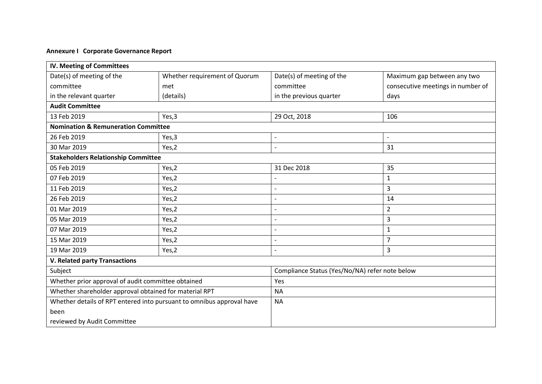| <b>IV. Meeting of Committees</b>                                      |           |                                                |                                   |  |  |
|-----------------------------------------------------------------------|-----------|------------------------------------------------|-----------------------------------|--|--|
| Date(s) of meeting of the<br>Whether requirement of Quorum            |           | Date(s) of meeting of the                      | Maximum gap between any two       |  |  |
| committee<br>met                                                      |           | committee                                      | consecutive meetings in number of |  |  |
| in the relevant quarter                                               | (details) | in the previous quarter                        | days                              |  |  |
| <b>Audit Committee</b>                                                |           |                                                |                                   |  |  |
| 13 Feb 2019                                                           | Yes,3     | 29 Oct, 2018                                   | 106                               |  |  |
| <b>Nomination &amp; Remuneration Committee</b>                        |           |                                                |                                   |  |  |
| 26 Feb 2019                                                           | Yes,3     | $\qquad \qquad -$                              | $\sim$                            |  |  |
| 30 Mar 2019                                                           | Yes,2     | $\overline{\phantom{a}}$                       | 31                                |  |  |
| <b>Stakeholders Relationship Committee</b>                            |           |                                                |                                   |  |  |
| 05 Feb 2019                                                           | Yes,2     | 31 Dec 2018                                    | 35                                |  |  |
| 07 Feb 2019                                                           | Yes,2     | $\overline{a}$                                 | $\mathbf{1}$                      |  |  |
| 11 Feb 2019                                                           | Yes,2     | $\overline{a}$                                 | 3                                 |  |  |
| 26 Feb 2019                                                           | Yes,2     | $\overline{a}$                                 | 14                                |  |  |
| 01 Mar 2019                                                           | Yes,2     | $\overline{a}$                                 | $\overline{2}$                    |  |  |
| 05 Mar 2019                                                           | Yes,2     | $\overline{a}$                                 | 3                                 |  |  |
| 07 Mar 2019                                                           | Yes,2     | $\overline{a}$                                 | $\mathbf{1}$                      |  |  |
| 15 Mar 2019                                                           | Yes,2     | $\qquad \qquad -$                              | $\overline{7}$                    |  |  |
| 19 Mar 2019                                                           | Yes,2     | $\overline{a}$                                 | 3                                 |  |  |
| <b>V. Related party Transactions</b>                                  |           |                                                |                                   |  |  |
| Subject                                                               |           | Compliance Status (Yes/No/NA) refer note below |                                   |  |  |
| Whether prior approval of audit committee obtained                    |           | Yes                                            |                                   |  |  |
| Whether shareholder approval obtained for material RPT                |           | <b>NA</b>                                      |                                   |  |  |
| Whether details of RPT entered into pursuant to omnibus approval have |           | <b>NA</b>                                      |                                   |  |  |
| been                                                                  |           |                                                |                                   |  |  |
| reviewed by Audit Committee                                           |           |                                                |                                   |  |  |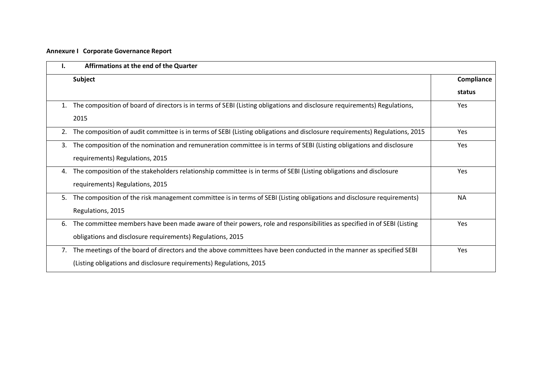| ı. | Affirmations at the end of the Quarter                                                                                     |            |
|----|----------------------------------------------------------------------------------------------------------------------------|------------|
|    | Subject                                                                                                                    | Compliance |
|    |                                                                                                                            | status     |
| 1. | The composition of board of directors is in terms of SEBI (Listing obligations and disclosure requirements) Regulations,   | Yes        |
|    | 2015                                                                                                                       |            |
| 2. | The composition of audit committee is in terms of SEBI (Listing obligations and disclosure requirements) Regulations, 2015 | Yes        |
| 3. | The composition of the nomination and remuneration committee is in terms of SEBI (Listing obligations and disclosure       | <b>Yes</b> |
|    | requirements) Regulations, 2015                                                                                            |            |
| 4. | The composition of the stakeholders relationship committee is in terms of SEBI (Listing obligations and disclosure         | Yes        |
|    | requirements) Regulations, 2015                                                                                            |            |
| 5. | The composition of the risk management committee is in terms of SEBI (Listing obligations and disclosure requirements)     | <b>NA</b>  |
|    | Regulations, 2015                                                                                                          |            |
| 6. | The committee members have been made aware of their powers, role and responsibilities as specified in of SEBI (Listing     | Yes        |
|    | obligations and disclosure requirements) Regulations, 2015                                                                 |            |
| 7. | The meetings of the board of directors and the above committees have been conducted in the manner as specified SEBI        | Yes        |
|    | (Listing obligations and disclosure requirements) Regulations, 2015                                                        |            |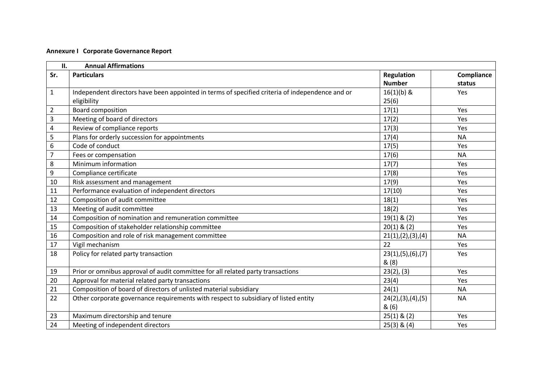|                | <b>Annual Affirmations</b><br>II.                                                               |                      |            |  |  |
|----------------|-------------------------------------------------------------------------------------------------|----------------------|------------|--|--|
| Sr.            | <b>Particulars</b>                                                                              | <b>Regulation</b>    | Compliance |  |  |
|                |                                                                                                 | <b>Number</b>        | status     |  |  |
| $\mathbf{1}$   | Independent directors have been appointed in terms of specified criteria of independence and or | $16(1)(b)$ &         | Yes        |  |  |
|                | eligibility                                                                                     | 25(6)                |            |  |  |
| $\overline{2}$ | Board composition                                                                               | 17(1)                | Yes        |  |  |
| 3              | Meeting of board of directors                                                                   | 17(2)                | Yes        |  |  |
| $\overline{4}$ | Review of compliance reports                                                                    | 17(3)                | Yes        |  |  |
| 5              | Plans for orderly succession for appointments                                                   | 17(4)                | <b>NA</b>  |  |  |
| 6              | Code of conduct                                                                                 | 17(5)                | Yes        |  |  |
| $\overline{7}$ | Fees or compensation                                                                            | 17(6)                | <b>NA</b>  |  |  |
| 8              | Minimum information                                                                             | 17(7)                | Yes        |  |  |
| 9              | Compliance certificate                                                                          | 17(8)                | Yes        |  |  |
| 10             | Risk assessment and management                                                                  | 17(9)                | Yes        |  |  |
| 11             | Performance evaluation of independent directors                                                 | 17(10)               | Yes        |  |  |
| 12             | Composition of audit committee                                                                  | 18(1)                | Yes        |  |  |
| 13             | Meeting of audit committee                                                                      | 18(2)                | Yes        |  |  |
| 14             | Composition of nomination and remuneration committee                                            | $19(1)$ & (2)        | Yes        |  |  |
| 15             | Composition of stakeholder relationship committee                                               | $20(1)$ & $(2)$      | Yes        |  |  |
| 16             | Composition and role of risk management committee                                               | 21(1), (2), (3), (4) | <b>NA</b>  |  |  |
| 17             | Vigil mechanism                                                                                 | 22                   | Yes        |  |  |
| 18             | Policy for related party transaction                                                            | 23(1), (5), (6), (7) | Yes        |  |  |
|                |                                                                                                 | &(8)                 |            |  |  |
| 19             | Prior or omnibus approval of audit committee for all related party transactions                 | 23(2), (3)           | Yes        |  |  |
| 20             | Approval for material related party transactions                                                | 23(4)                | Yes        |  |  |
| 21             | Composition of board of directors of unlisted material subsidiary                               | 24(1)                | <b>NA</b>  |  |  |
| 22             | Other corporate governance requirements with respect to subsidiary of listed entity             | 24(2), (3), (4), (5) | <b>NA</b>  |  |  |
|                |                                                                                                 | &(6)                 |            |  |  |
| 23             | Maximum directorship and tenure                                                                 | $25(1)$ & $(2)$      | Yes        |  |  |
| 24             | Meeting of independent directors                                                                | $25(3)$ & $(4)$      | Yes        |  |  |